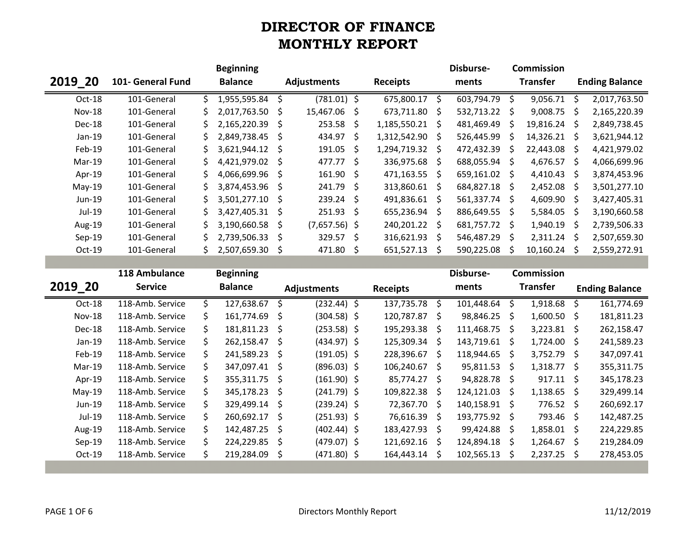|          |                   |    | <b>Beginning</b>  |  |                    |    |                   |    | Disburse-       |                 | <b>Commission</b> |                       |              |
|----------|-------------------|----|-------------------|--|--------------------|----|-------------------|----|-----------------|-----------------|-------------------|-----------------------|--------------|
| 2019 20  | 101- General Fund |    | <b>Balance</b>    |  | <b>Adjustments</b> |    | <b>Receipts</b>   |    |                 | <b>Transfer</b> |                   | <b>Ending Balance</b> |              |
| Oct-18   | 101-General       |    | 1,955,595.84 \$   |  | $(781.01)$ \$      |    | 675,800.17 \$     |    | 603,794.79      | - \$            | 9,056.71          | -Ś                    | 2,017,763.50 |
| $Nov-18$ | 101-General       | S. | 2,017,763.50 \$   |  | 15,467.06 \$       |    | 673,711.80 \$     |    | 532,713.22 \$   |                 | 9,008.75          | - S                   | 2,165,220.39 |
| Dec-18   | 101-General       | Ś. | 2,165,220.39 \$   |  | $253.58 \div$      |    | $1,185,550.21$ \$ |    | 481,469.49      | -S              | 19,816.24         | -S                    | 2,849,738.45 |
| $Jan-19$ | 101-General       | S. | 2,849,738.45 \$   |  | $434.97 \div$      |    | 1,312,542.90 \$   |    | 526,445.99      | - Ś             | $14,326.21$ \$    |                       | 3,621,944.12 |
| Feb-19   | 101-General       | S. | $3,621,944.12$ \$ |  | 191.05             | S. | 1,294,719.32 \$   |    | 472,432.39      | -S              | 22,443.08         | -S                    | 4,421,979.02 |
| Mar-19   | 101-General       | S. | 4,421,979.02 \$   |  | 477.77 \$          |    | 336,975.68 \$     |    | 688,055.94 \$   |                 | 4,676.57          | -S                    | 4,066,699.96 |
| Apr-19   | 101-General       |    | 4,066,699.96 \$   |  | $161.90 \div$      |    | $471,163.55$ \$   |    | 659,161.02 \$   |                 | 4,410.43          | - S                   | 3,874,453.96 |
| $May-19$ | 101-General       | S. | 3,874,453.96 \$   |  | $241.79 \div$      |    | 313,860.61 \$     |    | 684,827.18 \$   |                 | 2,452.08          | - S                   | 3,501,277.10 |
| Jun-19   | 101-General       | S. | 3,501,277.10 \$   |  | $239.24 \text{ }$  |    | 491,836.61 \$     |    | $561,337.74$ \$ |                 | 4,609.90          | - Ś                   | 3,427,405.31 |
| Jul-19   | 101-General       | S. | 3,427,405.31 \$   |  | $251.93 \div$      |    | 655,236.94 \$     |    | 886,649.55      | -S              | 5,584.05          | -S                    | 3,190,660.58 |
| Aug-19   | 101-General       | Ś. | 3,190,660.58 \$   |  | $(7,657.56)$ \$    |    | 240,201.22 \$     |    | 681,757.72      | S.              | 1,940.19          | -Ś                    | 2,739,506.33 |
| $Sep-19$ | 101-General       |    | 2,739,506.33 \$   |  | $329.57$ \$        |    | 316,621.93 \$     |    | 546,487.29      | - \$            | 2,311.24          | -Ś                    | 2,507,659.30 |
| $Oct-19$ | 101-General       | S. | 2,507,659.30 \$   |  | 471.80 \$          |    | 651,527.13        | -S | 590,225.08      |                 | 10,160.24         |                       | 2,559,272.91 |

|               | 118 Ambulance    | <b>Beginning</b> |                |   |                    |  |                 | Disburse- |               | <b>Commission</b> |                    |                     |                       |
|---------------|------------------|------------------|----------------|---|--------------------|--|-----------------|-----------|---------------|-------------------|--------------------|---------------------|-----------------------|
| 2019 20       | <b>Service</b>   |                  | <b>Balance</b> |   | <b>Adjustments</b> |  | <b>Receipts</b> |           | ments         | <b>Transfer</b>   |                    |                     | <b>Ending Balance</b> |
| Oct-18        | 118-Amb. Service | Ś.               | 127,638.67     | S | $(232.44)$ \$      |  | 137,735.78 \$   |           | 101,448.64    | -\$               | 1,918.68           | -\$                 | 161,774.69            |
| <b>Nov-18</b> | 118-Amb. Service | Ś.               | 161,774.69 \$  |   | $(304.58)$ \$      |  | 120,787.87      | - S       | 98,846.25     | - Ś               | 1,600.50           | S.                  | 181,811.23            |
| Dec-18        | 118-Amb. Service | Ś.               | 181,811.23     | Ŝ | $(253.58)$ \$      |  | 195,293.38      | - S       | 111,468.75    | - Ś               | 3,223.81           | - S                 | 262,158.47            |
| $Jan-19$      | 118-Amb. Service | Ś.               | 262,158.47 \$  |   | $(434.97)$ \$      |  | 125,309.34 \$   |           | 143,719.61    | S.                | $1,724.00 \quad $$ |                     | 241,589.23            |
| Feb-19        | 118-Amb. Service | Ś.               | 241,589.23 \$  |   | $(191.05)$ \$      |  | 228,396.67      | -S        | 118,944.65    | -Ŝ                | 3,752.79           | S.                  | 347,097.41            |
| Mar-19        | 118-Amb. Service | Ś.               | 347,097.41 \$  |   | $(896.03)$ \$      |  | 106,240.67      | - S       | 95,811.53     | - Ś               | 1,318.77           | $\ddot{\mathsf{s}}$ | 355,311.75            |
| Apr-19        | 118-Amb. Service | \$.              | 355,311.75 \$  |   | $(161.90)$ \$      |  | 85,774.27       | - Ś       | 94,828.78 \$  |                   | $917.11 \text{ }$  |                     | 345,178.23            |
| $May-19$      | 118-Amb. Service | Ś.               | 345,178.23 \$  |   | $(241.79)$ \$      |  | 109,822.38      | - Ś       | 124,121.03    | -Ś                | 1,138.65           | S.                  | 329,499.14            |
| Jun-19        | 118-Amb. Service | Ś.               | 329,499.14 \$  |   | $(239.24)$ \$      |  | 72,367.70 \$    |           | 140,158.91 \$ |                   | $776.52 \div$      |                     | 260,692.17            |
| Jul-19        | 118-Amb. Service | Ś.               | 260,692.17     | Ŝ | $(251.93)$ \$      |  | 76,616.39 \$    |           | 193,775.92 \$ |                   | 793.46 \$          |                     | 142,487.25            |
| Aug-19        | 118-Amb. Service | Ś.               | 142,487.25 \$  |   | $(402.44)$ \$      |  | 183,427.93      | - \$      | 99,424.88     | - Ś               | 1,858.01           | S.                  | 224,229.85            |
| Sep-19        | 118-Amb. Service | Ś.               | 224,229.85     | Ŝ | $(479.07)$ \$      |  | 121,692.16      | -S        | 124,894.18    | - Ś               | 1,264.67           | - S                 | 219,284.09            |
| $Oct-19$      | 118-Amb. Service | Ś.               | 219,284.09     | S | $(471.80)$ \$      |  | 164,443.14 \$   |           | 102,565.13    | <sub>S</sub>      | 2,237.25           | S.                  | 278,453.05            |
|               |                  |                  |                |   |                    |  |                 |           |               |                   |                    |                     |                       |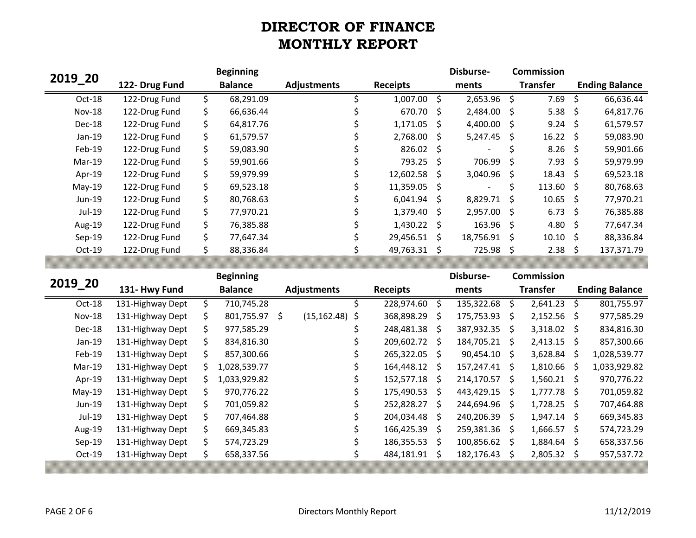|               |                |     | <b>Beginning</b> |                    |                  |              | Disburse-      |      | <b>Commission</b> |      |                       |
|---------------|----------------|-----|------------------|--------------------|------------------|--------------|----------------|------|-------------------|------|-----------------------|
| 2019 20       | 122- Drug Fund |     | <b>Balance</b>   | <b>Adjustments</b> | <b>Receipts</b>  |              | ments          |      | <b>Transfer</b>   |      | <b>Ending Balance</b> |
| Oct-18        | 122-Drug Fund  |     | 68,291.09        |                    | 1,007.00         | <sup>S</sup> | 2,653.96       | Ŝ    | 7.69              |      | 66,636.44             |
| <b>Nov-18</b> | 122-Drug Fund  | Ś.  | 66,636.44        |                    | 670.70 \$        |              | 2,484.00 \$    |      | $5.38 \quad $$    |      | 64,817.76             |
| Dec-18        | 122-Drug Fund  |     | 64,817.76        |                    | 1,171.05         | - \$         | 4,400.00       | - \$ | $9.24 \div$       |      | 61,579.57             |
| Jan-19        | 122-Drug Fund  | Ś.  | 61,579.57        |                    | $2,768.00$ \$    |              | 5,247.45       | -S   | $16.22 \div$      |      | 59,083.90             |
| Feb-19        | 122-Drug Fund  | \$  | 59,083.90        |                    | $826.02 \quad $$ |              | -              |      | $8.26$ \$         |      | 59,901.66             |
| Mar-19        | 122-Drug Fund  | \$  | 59,901.66        |                    | 793.25 \$        |              | 706.99         | -S   | $7.93 \quad $$    |      | 59,979.99             |
| Apr-19        | 122-Drug Fund  | Ś.  | 59,979.99        |                    | 12,602.58 \$     |              | 3,040.96       | - Ś  | 18.43             | - Ś  | 69,523.18             |
| $May-19$      | 122-Drug Fund  | Ś.  | 69,523.18        |                    | $11,359.05$ \$   |              |                |      | $113.60 \div$     |      | 80,768.63             |
| Jun-19        | 122-Drug Fund  | Ś.  | 80,768.63        |                    | $6,041.94$ \$    |              | 8,829.71 \$    |      | 10.65             | - Ś  | 77,970.21             |
| Jul-19        | 122-Drug Fund  | \$. | 77,970.21        |                    | $1,379.40 \pm 5$ |              | $2,957.00$ \$  |      | $6.73 \quad $5$   |      | 76,385.88             |
| Aug-19        | 122-Drug Fund  | Ś.  | 76,385.88        |                    | $1,430.22$ \$    |              | $163.96 \pm 1$ |      | 4.80              | - \$ | 77,647.34             |
| $Sep-19$      | 122-Drug Fund  |     | 77,647.34        |                    | 29,456.51 \$     |              | 18,756.91      | - Ś  | 10.10             | - \$ | 88,336.84             |
| Oct-19        | 122-Drug Fund  |     | 88,336.84        |                    | 49,763.31 \$     |              | 725.98         | -S   | 2.38              | -S   | 137,371.79            |

|          |                  |    | <b>Beginning</b> |    |                    |   |                 |     | Disburse-     |      | <b>Commission</b> |                     |                       |
|----------|------------------|----|------------------|----|--------------------|---|-----------------|-----|---------------|------|-------------------|---------------------|-----------------------|
| 2019 20  | 131- Hwy Fund    |    | <b>Balance</b>   |    | <b>Adjustments</b> |   | <b>Receipts</b> |     | ments         |      | <b>Transfer</b>   |                     | <b>Ending Balance</b> |
| Oct-18   | 131-Highway Dept | Ś. | 710,745.28       |    |                    |   | 228,974.60 \$   |     | 135,322.68    | Ŝ.   | 2,641.23          | $\ddot{\mathsf{S}}$ | 801,755.97            |
| $Nov-18$ | 131-Highway Dept | S. | 801,755.97       | S. | $(15, 162.48)$ \$  |   | 368,898.29      | - S | 175,753.93    | - S  | $2,152.56$ \$     |                     | 977,585.29            |
| Dec-18   | 131-Highway Dept | Ś. | 977,585.29       |    |                    |   | 248,481.38 \$   |     | 387,932.35 \$ |      | $3,318.02$ \$     |                     | 834,816.30            |
| $Jan-19$ | 131-Highway Dept | Ś. | 834,816.30       |    |                    |   | 209,602.72 \$   |     | 184,705.21    | - S  | $2,413.15$ \$     |                     | 857,300.66            |
| Feb-19   | 131-Highway Dept | S. | 857,300.66       |    |                    |   | 265,322.05 \$   |     | 90,454.10     | - S  | $3,628.84$ \$     |                     | 1,028,539.77          |
| Mar-19   | 131-Highway Dept |    | 1,028,539.77     |    |                    |   | 164,448.12 \$   |     | 157,247.41    | - \$ | 1,810.66          | - S                 | 1,033,929.82          |
| Apr-19   | 131-Highway Dept | S. | 1,033,929.82     |    |                    |   | 152,577.18 \$   |     | 214,170.57 \$ |      | $1,560.21$ \$     |                     | 970,776.22            |
| $May-19$ | 131-Highway Dept | Ś. | 970,776.22       |    |                    |   | 175,490.53 \$   |     | 443,429.15 \$ |      | $1,777.78$ \$     |                     | 701,059.82            |
| $Jun-19$ | 131-Highway Dept | Ś. | 701,059.82       |    |                    |   | 252,828.27 \$   |     | 244,694.96    | S.   | $1,728.25$ \$     |                     | 707,464.88            |
| Jul-19   | 131-Highway Dept | Ś. | 707,464.88       |    |                    |   | 204,034.48 \$   |     | 240,206.39    | - S  | $1,947.14$ \$     |                     | 669,345.83            |
| Aug-19   | 131-Highway Dept | Ś. | 669,345.83       |    |                    |   | 166,425.39      | - S | 259,381.36    | S.   | 1,666.57          | S.                  | 574,723.29            |
| Sep-19   | 131-Highway Dept | Ś. | 574,723.29       |    |                    |   | 186,355.53 \$   |     | 100,856.62    | - Ś  | $1,884.64$ \$     |                     | 658,337.56            |
| Oct-19   | 131-Highway Dept | S. | 658,337.56       |    |                    | S | 484,181.91 \$   |     | 182,176.43    | S    | $2,805.32$ \$     |                     | 957,537.72            |
|          |                  |    |                  |    |                    |   |                 |     |               |      |                   |                     |                       |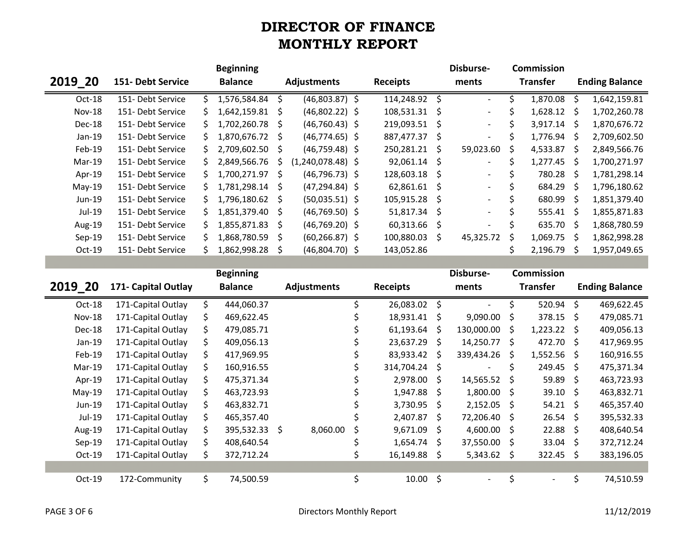|               |                     | <b>Beginning</b>    |                           |                 | Disburse-                | <b>Commission</b>   |                    |                       |
|---------------|---------------------|---------------------|---------------------------|-----------------|--------------------------|---------------------|--------------------|-----------------------|
| 2019_20       | 151- Debt Service   | <b>Balance</b>      | <b>Adjustments</b>        | <b>Receipts</b> | ments                    | <b>Transfer</b>     |                    | <b>Ending Balance</b> |
| Oct-18        | 151- Debt Service   | \$<br>1,576,584.84  | \$<br>$(46,803.87)$ \$    | 114,248.92 \$   | $\overline{\phantom{a}}$ | \$<br>1,870.08      | $\zeta$            | 1,642,159.81          |
| <b>Nov-18</b> | 151- Debt Service   | \$<br>1,642,159.81  | \$<br>$(46,802.22)$ \$    | 108,531.31      | \$                       | \$<br>$1,628.12$ \$ |                    | 1,702,260.78          |
| Dec-18        | 151- Debt Service   | 1,702,260.78        | \$<br>$(46, 760.43)$ \$   | 219,093.51      | \$                       | \$<br>3,917.14 \$   |                    | 1,870,676.72          |
| Jan-19        | 151- Debt Service   | 1,870,676.72        | \$<br>$(46, 774.65)$ \$   | 887,477.37      | \$                       | \$<br>1,776.94      | - \$               | 2,709,602.50          |
| Feb-19        | 151- Debt Service   | 2,709,602.50        | \$<br>$(46,759.48)$ \$    | 250,281.21      | \$<br>59,023.60          | \$<br>4,533.87      | \$                 | 2,849,566.76          |
| Mar-19        | 151- Debt Service   | 2,849,566.76        | \$<br>$(1,240,078.48)$ \$ | 92,061.14       | \$                       | \$<br>1,277.45      | - \$               | 1,700,271.97          |
| Apr-19        | 151- Debt Service   | \$<br>1,700,271.97  | \$<br>$(46, 796.73)$ \$   | 128,603.18      | \$                       | \$<br>780.28        | $\zeta$            | 1,781,298.14          |
| May-19        | 151- Debt Service   | \$<br>1,781,298.14  | \$<br>$(47, 294.84)$ \$   | 62,861.61       | \$                       | \$<br>684.29        | $\zeta$            | 1,796,180.62          |
| Jun-19        | 151- Debt Service   | 1,796,180.62        | \$<br>$(50,035.51)$ \$    | 105,915.28      | \$                       | \$<br>680.99        | $\zeta$            | 1,851,379.40          |
| Jul-19        | 151- Debt Service   | 1,851,379.40        | \$<br>$(46,769.50)$ \$    | 51,817.34       | \$                       | \$<br>$555.41$ \$   |                    | 1,855,871.83          |
| Aug-19        | 151- Debt Service   | \$<br>1,855,871.83  | \$<br>$(46,769.20)$ \$    | 60,313.66       | \$                       | \$<br>635.70 \$     |                    | 1,868,780.59          |
| Sep-19        | 151- Debt Service   | \$<br>1,868,780.59  | \$<br>$(60, 266.87)$ \$   | 100,880.03      | \$<br>45,325.72          | \$<br>1,069.75      | \$                 | 1,862,998.28          |
| Oct-19        | 151- Debt Service   | \$<br>1,862,998.28  | \$<br>$(46,804.70)$ \$    | 143,052.86      |                          | \$<br>2,196.79      | $\ddot{\varsigma}$ | 1,957,049.65          |
|               |                     |                     |                           |                 |                          |                     |                    |                       |
|               |                     | <b>Beginning</b>    |                           |                 | Disburse-                | <b>Commission</b>   |                    |                       |
|               |                     |                     |                           |                 |                          |                     |                    |                       |
| 2019_20       | 171- Capital Outlay | <b>Balance</b>      | <b>Adjustments</b>        | <b>Receipts</b> | ments                    | <b>Transfer</b>     |                    | <b>Ending Balance</b> |
| Oct-18        | 171-Capital Outlay  | \$<br>444,060.37    | \$                        | 26,083.02       | \$<br>$\blacksquare$     | \$<br>520.94        | \$                 | 469,622.45            |
| <b>Nov-18</b> | 171-Capital Outlay  | \$<br>469,622.45    | \$                        | 18,931.41       | \$<br>9,090.00           | \$<br>378.15        | $\zeta$            | 479,085.71            |
| Dec-18        | 171-Capital Outlay  | \$<br>479,085.71    | \$                        | 61,193.64       | \$<br>130,000.00         | \$<br>1,223.22      | S.                 | 409,056.13            |
| Jan-19        | 171-Capital Outlay  | \$<br>409,056.13    | \$                        | 23,637.29       | \$<br>14,250.77          | \$<br>472.70        | - \$               | 417,969.95            |
| Feb-19        | 171-Capital Outlay  | \$<br>417,969.95    | \$                        | 83,933.42       | \$<br>339,434.26         | \$<br>1,552.56      | \$                 | 160,916.55            |
| Mar-19        | 171-Capital Outlay  | \$<br>160,916.55    | \$                        | 314,704.24      | \$                       | \$<br>249.45        | \$                 | 475,371.34            |
| Apr-19        | 171-Capital Outlay  | \$<br>475,371.34    | \$                        | 2,978.00        | \$<br>14,565.52          | \$<br>59.89         | \$                 | 463,723.93            |
| May-19        | 171-Capital Outlay  | \$<br>463,723.93    | \$                        | 1,947.88        | \$<br>1,800.00           | \$<br>39.10         | \$                 | 463,832.71            |
| Jun-19        | 171-Capital Outlay  | \$<br>463,832.71    | \$                        | 3,730.95        | \$<br>2,152.05           | \$<br>54.21         | $\zeta$            | 465,357.40            |
| Jul-19        | 171-Capital Outlay  | \$<br>465,357.40    | \$                        | 2,407.87        | \$<br>72,206.40          | \$<br>26.54         | $\zeta$            | 395,532.33            |
| Aug-19        | 171-Capital Outlay  | \$<br>395,532.33 \$ | 8,060.00<br>\$            | 9,671.09        | \$<br>4,600.00           | \$<br>22.88         | \$                 | 408,640.54            |
| Sep-19        | 171-Capital Outlay  | \$<br>408,640.54    | \$                        | 1,654.74        | \$<br>37,550.00          | \$<br>33.04         | $\zeta$            | 372,712.24            |
| Oct-19        | 171-Capital Outlay  | \$<br>372,712.24    | \$                        | 16,149.88       | \$<br>$5,343.62$ \$      | 322.45 \$           |                    | 383,196.05            |
| Oct-19        | 172-Community       | \$<br>74,500.59     | \$                        | $10.00$ \$      |                          | \$                  | \$                 | 74,510.59             |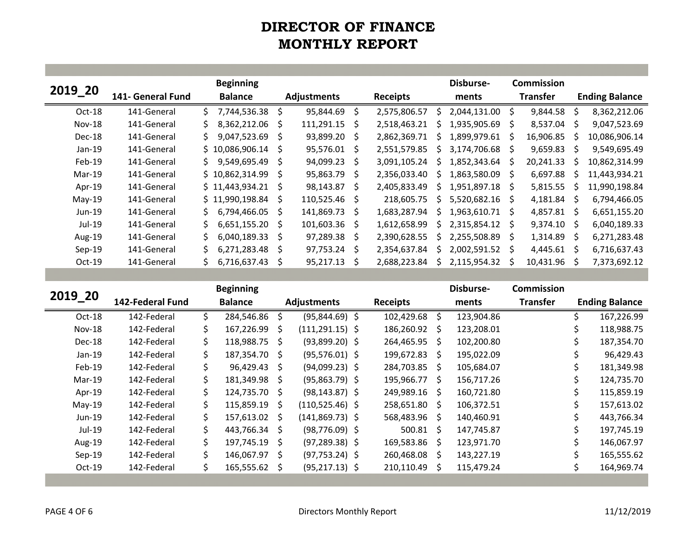|               |                   |    | <b>Beginning</b> |    |                    |              |                 |    | Disburse-    |    | Commission      |              |                       |
|---------------|-------------------|----|------------------|----|--------------------|--------------|-----------------|----|--------------|----|-----------------|--------------|-----------------------|
| 2019 20       | 141- General Fund |    | <b>Balance</b>   |    | <b>Adjustments</b> |              | <b>Receipts</b> |    | ments        |    | <b>Transfer</b> |              | <b>Ending Balance</b> |
| $Oct-18$      | 141-General       | Ś. | 7,744,536.38     | Ś. | 95,844.69          | - Ś          | 2,575,806.57    | S. | 2,044,131.00 | Ŝ. | 9,844.58        | Ŝ.           | 8,362,212.06          |
| <b>Nov-18</b> | 141-General       | S. | 8,362,212.06     | Ś. | 111,291.15         | - Ś          | 2,518,463.21    | ς. | 1,935,905.69 | Š. | 8,537.04        | -S           | 9,047,523.69          |
| Dec-18        | 141-General       | Ś. | 9,047,523.69     | Ŝ  | 93,899.20 \$       |              | 2,862,369.71    | S  | 1,899,979.61 | Ś. | 16,906.85       | S            | 10,086,906.14         |
| $Jan-19$      | 141-General       |    | \$10,086,906.14  | S  | $95,576.01$ \$     |              | 2,551,579.85    | S  | 3,174,706.68 | S  | 9,659.83        | S            | 9,549,695.49          |
| Feb-19        | 141-General       | S. | 9,549,695.49     | Ŝ. | 94,099.23 \$       |              | 3.091.105.24    | ς  | 1,852,343.64 | S  | 20,241.33       | S            | 10,862,314.99         |
| $Mar-19$      | 141-General       |    | \$10,862,314.99  | Ŝ. | 95,863.79 \$       |              | 2,356,033.40    | S  | 1,863,580.09 | S  | 6,697.88        |              | 11,443,934.21         |
| Apr-19        | 141-General       |    | \$11,443,934.21  | S  | 98,143.87          | S.           | 2.405.833.49    | S. | 1,951,897.18 | -S | 5,815.55        | S            | 11,990,198.84         |
| $May-19$      | 141-General       |    | \$11,990,198.84  | Ŝ. | $110,525.46$ \$    |              | 218.605.75      | S  | 5,520,682.16 | S  | 4,181.84        | -S           | 6,794,466.05          |
| $Jun-19$      | 141-General       | S. | 6,794,466.05     | Ŝ  | 141,869.73         | - Ś          | 1,683,287.94    | ς  | 1,963,610.71 | Ŝ. | 4,857.81        | -S           | 6,651,155.20          |
| Jul-19        | 141-General       | S. | 6,651,155.20     | Ŝ  | $101,603.36$ \$    |              | 1,612,658.99    | S. | 2,315,854.12 | Ŝ. | 9,374.10        | S            | 6,040,189.33          |
| Aug-19        | 141-General       | Ś. | 6,040,189.33     | S  | 97,289.38 \$       |              | 2,390,628.55    | S  | 2,255,508.89 | S  | 1,314.89        | <sub>S</sub> | 6,271,283.48          |
| $Sep-19$      | 141-General       |    | 6,271,283.48     | Ś. | $97,753.24$ \$     |              | 2,354,637.84    | S  | 2,002,591.52 | S  | 4,445.61        | <sub>S</sub> | 6,716,637.43          |
| $Oct-19$      | 141-General       |    | 6,716,637.43     | S  | 95,217.13          | <sub>S</sub> | 2,688,223.84    | S  | 2,115,954.32 | S  | 10,431.96       | S            | 7,373,692.12          |

|               |                  |     | <b>Beginning</b> |    |                    |                      |    | Disburse-  | <b>Commission</b> |    |                       |
|---------------|------------------|-----|------------------|----|--------------------|----------------------|----|------------|-------------------|----|-----------------------|
| 2019_20       | 142-Federal Fund |     | <b>Balance</b>   |    | <b>Adjustments</b> | <b>Receipts</b>      |    | ments      | <b>Transfer</b>   |    | <b>Ending Balance</b> |
| $Oct-18$      | 142-Federal      | Ś.  | 284,546.86       | Ŝ  | $(95,844.69)$ \$   | 102,429.68 \$        |    | 123,904.86 |                   | Ś. | 167,226.99            |
| <b>Nov-18</b> | 142-Federal      | \$. | 167,226.99       | \$ | $(111, 291.15)$ \$ | 186,260.92 \$        |    | 123,208.01 |                   | S. | 118,988.75            |
| Dec-18        | 142-Federal      | \$. | 118,988.75       | -Ŝ | $(93,899.20)$ \$   | 264,465.95 \$        |    | 102,200.80 |                   |    | 187,354.70            |
| $Jan-19$      | 142-Federal      | \$. | 187,354.70       | Ŝ. | $(95,576.01)$ \$   | 199,672.83 \$        |    | 195,022.09 |                   |    | 96,429.43             |
| Feb-19        | 142-Federal      | \$. | 96,429.43        | Ŝ. | $(94,099.23)$ \$   | 284,703.85 \$        |    | 105,684.07 |                   | Ś. | 181,349.98            |
| $Mar-19$      | 142-Federal      | \$  | 181,349.98       | Ŝ. | $(95,863.79)$ \$   | 195,966.77 \$        |    | 156,717.26 |                   |    | 124,735.70            |
| Apr-19        | 142-Federal      | \$  | 124,735.70       | Ŝ. | $(98, 143.87)$ \$  | 249,989.16 \$        |    | 160,721.80 |                   |    | 115,859.19            |
| $May-19$      | 142-Federal      | \$  | $115,859.19$ \$  |    | $(110,525.46)$ \$  | 258,651.80 \$        |    | 106,372.51 |                   | Ś. | 157,613.02            |
| Jun-19        | 142-Federal      | Ś.  | 157,613.02       | Ŝ. | $(141,869.73)$ \$  | 568,483.96 \$        |    | 140,460.91 |                   |    | 443,766.34            |
| Jul-19        | 142-Federal      | \$  | 443,766.34       | Ŝ. | $(98, 776.09)$ \$  | $500.81 \; \text{S}$ |    | 147,745.87 |                   |    | 197,745.19            |
| Aug-19        | 142-Federal      | \$  | 197,745.19       | Ŝ. | $(97, 289.38)$ \$  | 169,583.86 \$        |    | 123,971.70 |                   | Ś. | 146,067.97            |
| $Sep-19$      | 142-Federal      | Ś.  | 146,067.97       | Ŝ. | $(97, 753.24)$ \$  | 260,468.08 \$        |    | 143,227.19 |                   |    | 165,555.62            |
| $Oct-19$      | 142-Federal      | \$. | 165,555.62       | S  | $(95, 217.13)$ \$  | 210,110.49           | S. | 115,479.24 |                   | \$ | 164,969.74            |
|               |                  |     |                  |    |                    |                      |    |            |                   |    |                       |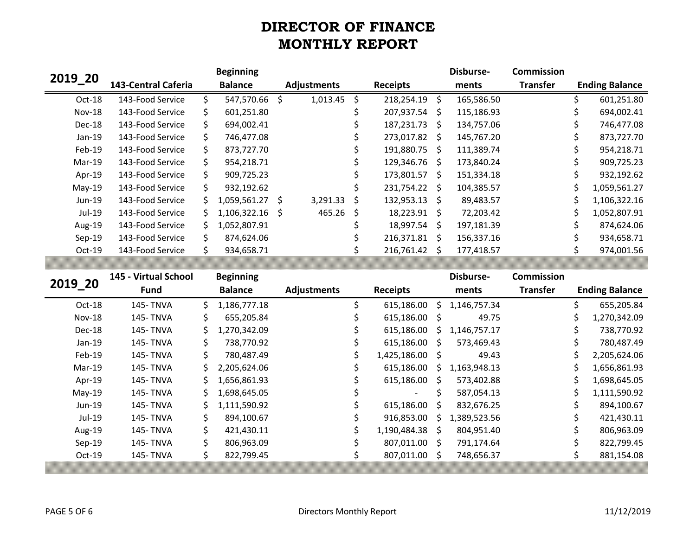|          |                            |    | <b>Beginning</b>  |                    |    |                 | Disburse-  | <b>Commission</b> |                       |
|----------|----------------------------|----|-------------------|--------------------|----|-----------------|------------|-------------------|-----------------------|
| 2019 20  | <b>143-Central Caferia</b> |    | <b>Balance</b>    | <b>Adjustments</b> |    | <b>Receipts</b> | ments      | <b>Transfer</b>   | <b>Ending Balance</b> |
| Oct-18   | 143-Food Service           |    | 547,570.66 \$     | 1,013.45           | \$ | 218,254.19 \$   | 165,586.50 |                   | 601,251.80            |
| $Nov-18$ | 143-Food Service           | S. | 601,251.80        |                    |    | 207,937.54 \$   | 115,186.93 |                   | 694,002.41            |
| Dec-18   | 143-Food Service           | Ś. | 694.002.41        |                    |    | 187,231.73 \$   | 134,757.06 |                   | 746,477.08            |
| $Jan-19$ | 143-Food Service           | S. | 746,477.08        |                    |    | 273,017.82 \$   | 145,767.20 |                   | 873,727.70            |
| Feb-19   | 143-Food Service           |    | 873,727.70        |                    |    | 191,880.75 \$   | 111,389.74 |                   | 954,218.71            |
| Mar-19   | 143-Food Service           | S. | 954,218.71        |                    |    | 129,346.76 \$   | 173,840.24 |                   | 909,725.23            |
| Apr-19   | 143-Food Service           |    | 909.725.23        |                    |    | 173,801.57 \$   | 151,334.18 |                   | 932,192.62            |
| $May-19$ | 143-Food Service           |    | 932,192.62        |                    |    | 231,754.22 \$   | 104,385.57 |                   | 1,059,561.27          |
| Jun-19   | 143-Food Service           |    | $1,059,561.27$ \$ | 3,291.33           | Ś  | 132,953.13 \$   | 89,483.57  |                   | 1,106,322.16          |
| Jul-19   | 143-Food Service           |    | 1,106,322.16 \$   | 465.26             | -S | 18,223.91 \$    | 72,203.42  |                   | 1,052,807.91          |
| Aug-19   | 143-Food Service           |    | 1,052,807.91      |                    |    | 18,997.54 \$    | 197,181.39 |                   | 874,624.06            |
| $Sep-19$ | 143-Food Service           |    | 874,624.06        |                    |    | 216,371.81 \$   | 156,337.16 |                   | 934,658.71            |
| $Oct-19$ | 143-Food Service           |    | 934,658.71        |                    |    | 216,761.42 \$   | 177,418.57 |                   | 974,001.56            |

|          | 145 - Virtual School |     | <b>Beginning</b> |                    |                          |              | Disburse-    | <b>Commission</b> |   |                       |
|----------|----------------------|-----|------------------|--------------------|--------------------------|--------------|--------------|-------------------|---|-----------------------|
| 2019 20  | <b>Fund</b>          |     | <b>Balance</b>   | <b>Adjustments</b> | <b>Receipts</b>          |              | ments        | <b>Transfer</b>   |   | <b>Ending Balance</b> |
| Oct-18   | <b>145-TNVA</b>      | S.  | 1,186,777.18     |                    | 615,186.00               | -S.          | 1,146,757.34 |                   |   | 655,205.84            |
| Nov-18   | 145- TNVA            | S.  | 655,205.84       |                    | 615,186.00 \$            |              | 49.75        |                   |   | 1,270,342.09          |
| Dec-18   | <b>145-TNVA</b>      | Ś.  | 1,270,342.09     |                    | 615,186.00               | S.           | 1,146,757.17 |                   |   | 738,770.92            |
| $Jan-19$ | 145- TNVA            | \$. | 738,770.92       |                    | 615,186.00 \$            |              | 573,469.43   |                   |   | 780,487.49            |
| $Feb-19$ | <b>145-TNVA</b>      | \$  | 780,487.49       |                    | 1,425,186.00 \$          |              | 49.43        |                   | S | 2,205,624.06          |
| Mar-19   | <b>145-TNVA</b>      | Ś.  | 2,205,624.06     |                    | 615,186.00               | S            | 1,163,948.13 |                   |   | 1,656,861.93          |
| Apr-19   | 145- TNVA            | S.  | 1,656,861.93     |                    | 615,186.00 \$            |              | 573,402.88   |                   | S | 1,698,645.05          |
| $May-19$ | <b>145-TNVA</b>      | S.  | 1,698,645.05     |                    | $\overline{\phantom{a}}$ | S            | 587,054.13   |                   | S | 1,111,590.92          |
| Jun-19   | <b>145-TNVA</b>      | S.  | 1,111,590.92     |                    | 615,186.00               | <sup>S</sup> | 832,676.25   |                   |   | 894,100.67            |
| Jul-19   | 145- TNVA            | \$  | 894,100.67       |                    | 916,853.00               | -S           | 1,389,523.56 |                   |   | 421,430.11            |
| Aug-19   | <b>145-TNVA</b>      | Ś.  | 421,430.11       |                    | 1,190,484.38 \$          |              | 804,951.40   |                   |   | 806,963.09            |
| $Sep-19$ | <b>145-TNVA</b>      |     | 806.963.09       |                    | 807,011.00 \$            |              | 791,174.64   |                   |   | 822,799.45            |
| $Oct-19$ | <b>145-TNVA</b>      |     | 822,799.45       |                    | 807,011.00 \$            |              | 748,656.37   |                   |   | 881,154.08            |
|          |                      |     |                  |                    |                          |              |              |                   |   |                       |